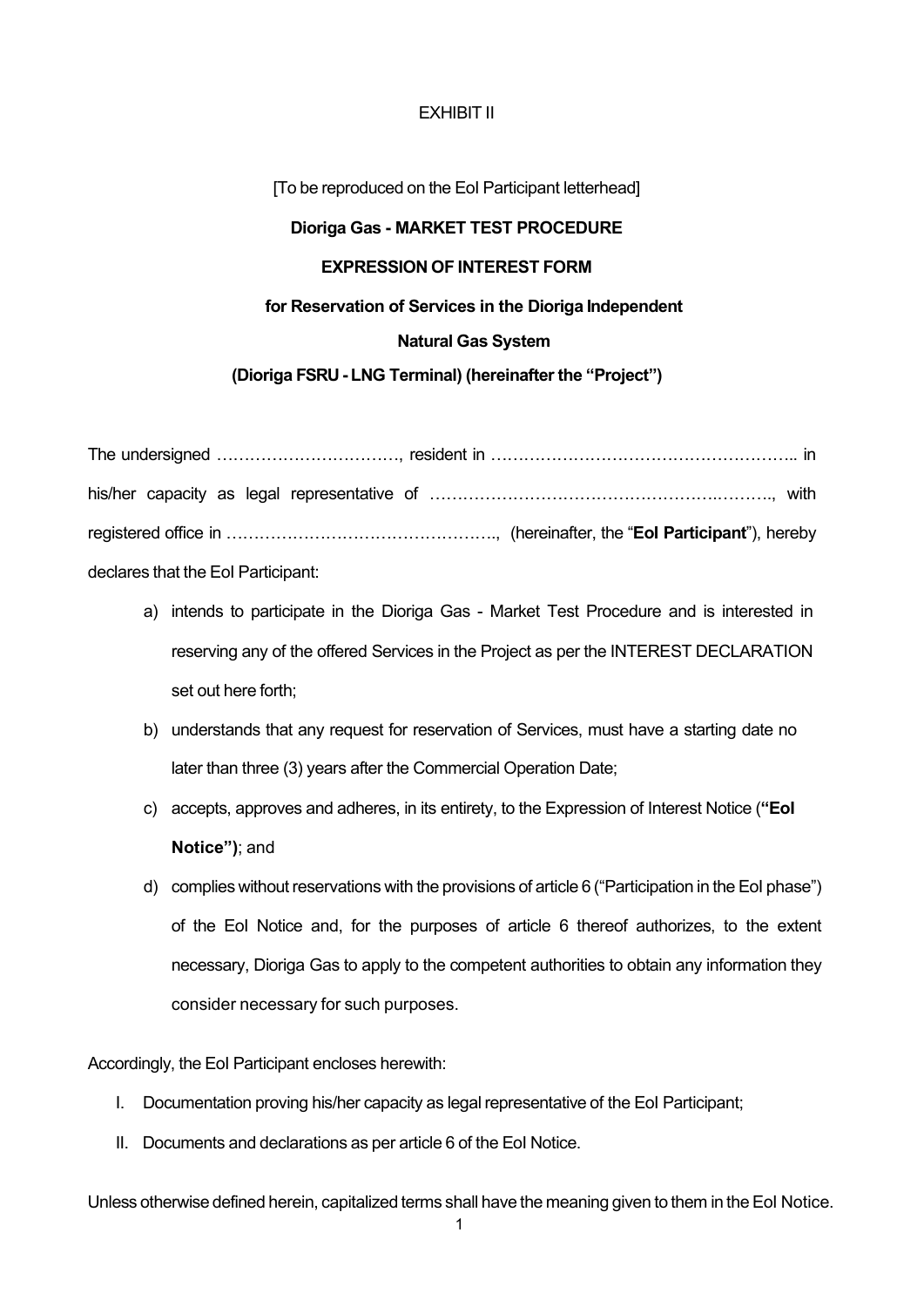## EXHIBIT II

[To be reproduced on the EoI Participant letterhead]

#### **Dioriga Gas - MARKET TEST PROCEDURE**

## **EXPRESSION OF INTEREST FORM**

#### **for Reservation of Services in the Dioriga Independent**

#### **Natural Gas System**

#### **(Dioriga FSRU - LNG Terminal) (hereinafter the "Project")**

The undersigned ……………………………, resident in ……………………………………………….. in his/her capacity as legal representative of …………………………………………….………., with registered office in …………………………………………., (hereinafter, the "**EoI Participant**"), hereby declares that the EoI Participant:

- a) intends to participate in the Dioriga Gas Market Test Procedure and is interested in reserving any of the offered Services in the Project as per the INTEREST DECLARATION set out here forth;
- b) understands that any request for reservation of Services, must have a starting date no later than three (3) years after the Commercial Operation Date;
- c) accepts, approves and adheres, in its entirety, to the Expression of Interest Notice (**"EoI Notice")**; and
- d) complies without reservations with the provisions of article 6 ("Participation in the EoI phase") of the EoI Notice and, for the purposes of article 6 thereof authorizes, to the extent necessary, Dioriga Gas to apply to the competent authorities to obtain any information they consider necessary for such purposes.

Accordingly, the EoI Participant encloses herewith:

- I. Documentation proving his/her capacity as legal representative of the EoI Participant;
- II. Documents and declarations as per article 6 of the EoI Notice.

Unless otherwise defined herein, capitalized terms shall have the meaning given to them in the EoI Notice.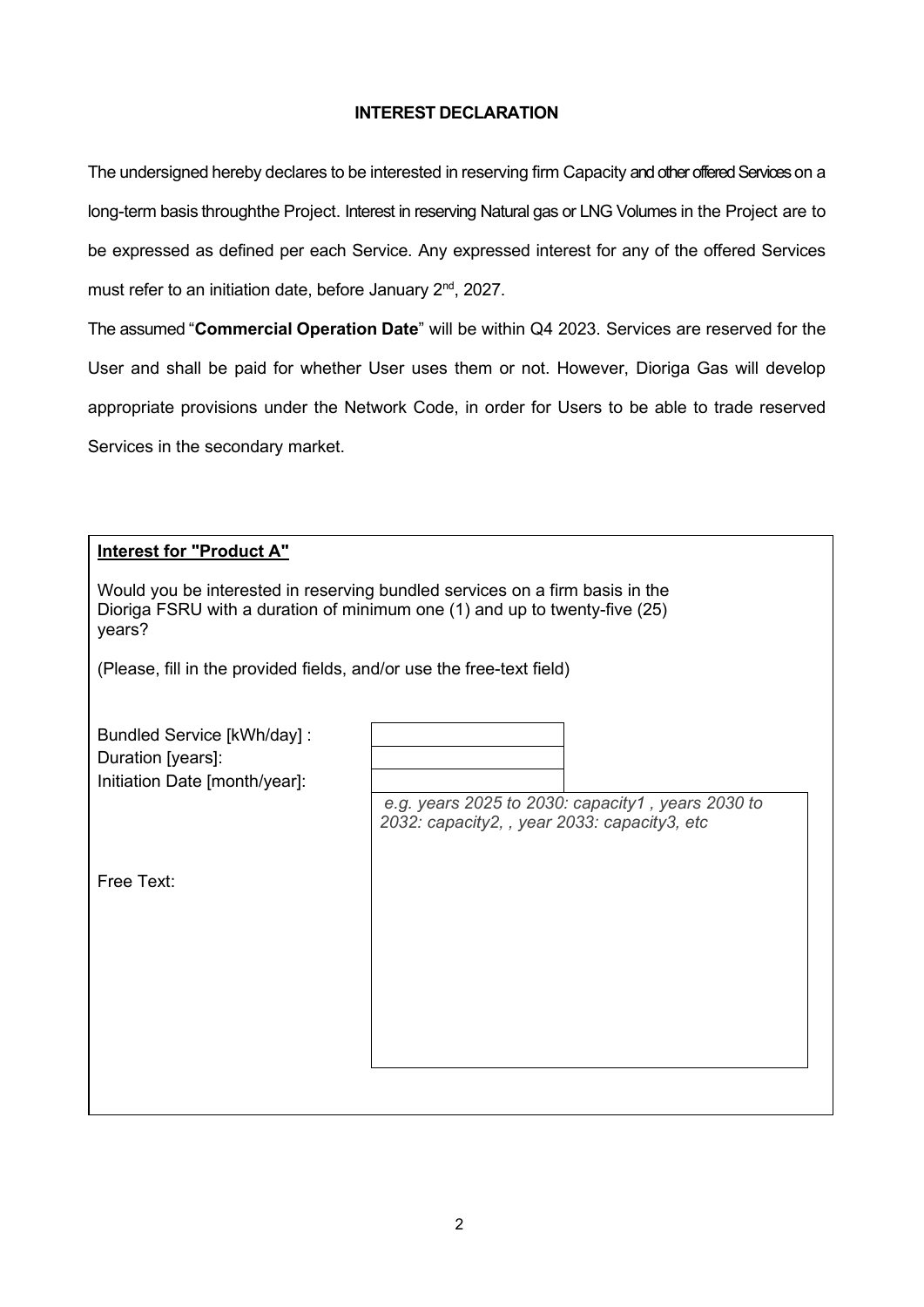## **INTEREST DECLARATION**

The undersigned hereby declares to be interested in reserving firm Capacity and other offered Services on a long-term basis throughthe Project. Interest in reserving Natural gas or LNG Volumes in the Project are to be expressed as defined per each Service. Any expressed interest for any of the offered Services must refer to an initiation date, before January 2<sup>nd</sup>, 2027.

The assumed "**Commercial Operation Date**" will be within Q4 2023. Services are reserved for the User and shall be paid for whether User uses them or not. However, Dioriga Gas will develop appropriate provisions under the Network Code, in order for Users to be able to trade reserved Services in the secondary market.

## **Interest for "Product A"**

| Would you be interested in reserving bundled services on a firm basis in the |
|------------------------------------------------------------------------------|
| Dioriga FSRU with a duration of minimum one (1) and up to twenty-five (25)   |
| years?                                                                       |

(Please, fill in the provided fields, and/or use the free-text field)

| Bundled Service [kWh/day] :<br>Duration [years]:<br>Initiation Date [month/year]: |                                                                                                   |
|-----------------------------------------------------------------------------------|---------------------------------------------------------------------------------------------------|
|                                                                                   | e.g. years 2025 to 2030: capacity1, years 2030 to<br>2032: capacity2, , year 2033: capacity3, etc |
| Free Text:                                                                        |                                                                                                   |
|                                                                                   |                                                                                                   |
|                                                                                   |                                                                                                   |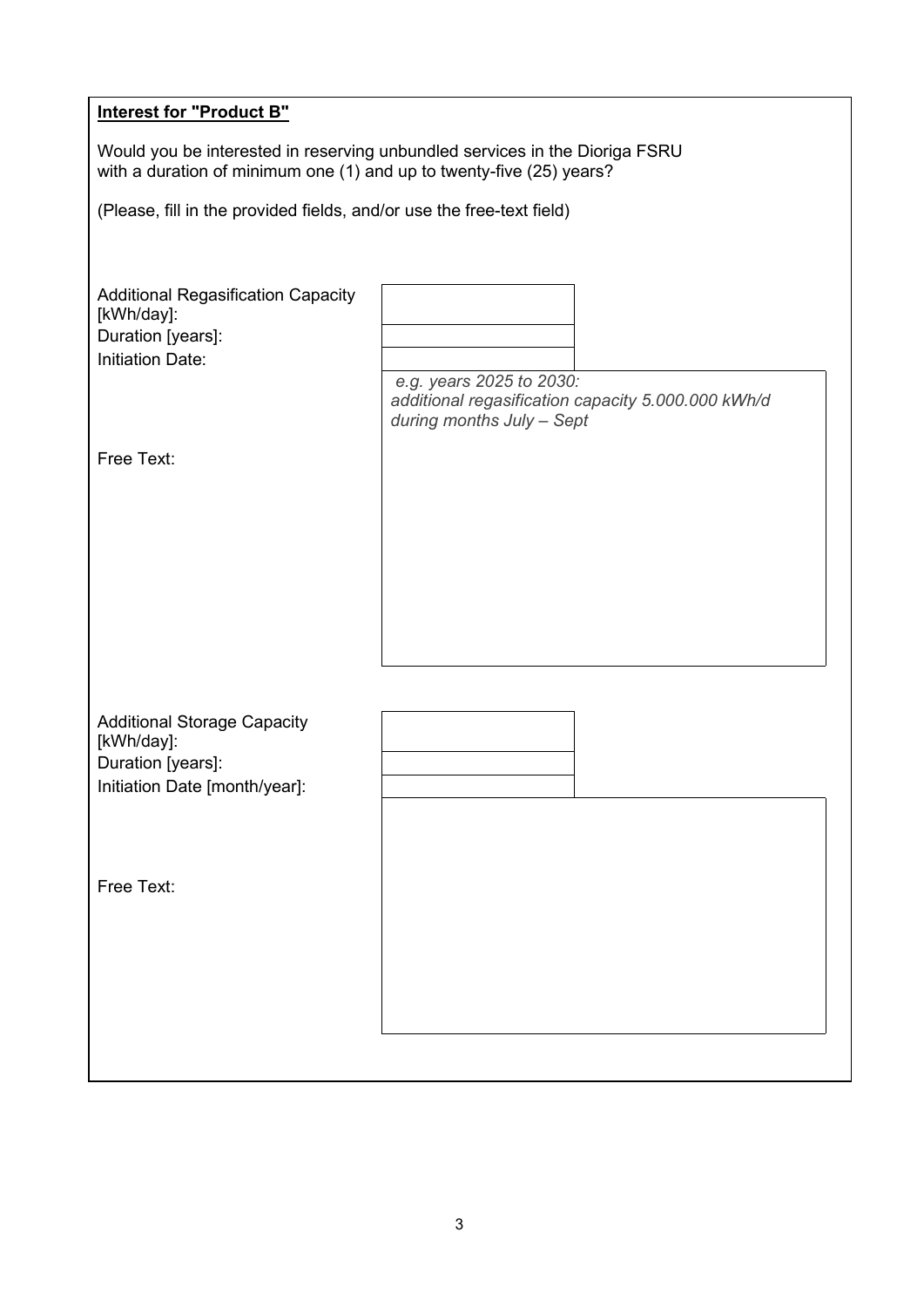| <b>Interest for "Product B"</b>                                       |                                                                                 |
|-----------------------------------------------------------------------|---------------------------------------------------------------------------------|
| with a duration of minimum one (1) and up to twenty-five (25) years?  | Would you be interested in reserving unbundled services in the Dioriga FSRU     |
| (Please, fill in the provided fields, and/or use the free-text field) |                                                                                 |
|                                                                       |                                                                                 |
| <b>Additional Regasification Capacity</b><br>[kWh/day]:               |                                                                                 |
| Duration [years]:                                                     |                                                                                 |
| <b>Initiation Date:</b>                                               | e.g. years 2025 to 2030:                                                        |
|                                                                       | additional regasification capacity 5.000.000 kWh/d<br>during months July - Sept |
| Free Text:                                                            |                                                                                 |
|                                                                       |                                                                                 |
|                                                                       |                                                                                 |
|                                                                       |                                                                                 |
|                                                                       |                                                                                 |
|                                                                       |                                                                                 |
|                                                                       |                                                                                 |
|                                                                       |                                                                                 |
| <b>Additional Storage Capacity</b><br>[kWh/day]:                      |                                                                                 |
| Duration [years]:                                                     |                                                                                 |
| Initiation Date [month/year]:                                         |                                                                                 |
|                                                                       |                                                                                 |
|                                                                       |                                                                                 |
| Free Text:                                                            |                                                                                 |
|                                                                       |                                                                                 |
|                                                                       |                                                                                 |
|                                                                       |                                                                                 |
|                                                                       |                                                                                 |
|                                                                       |                                                                                 |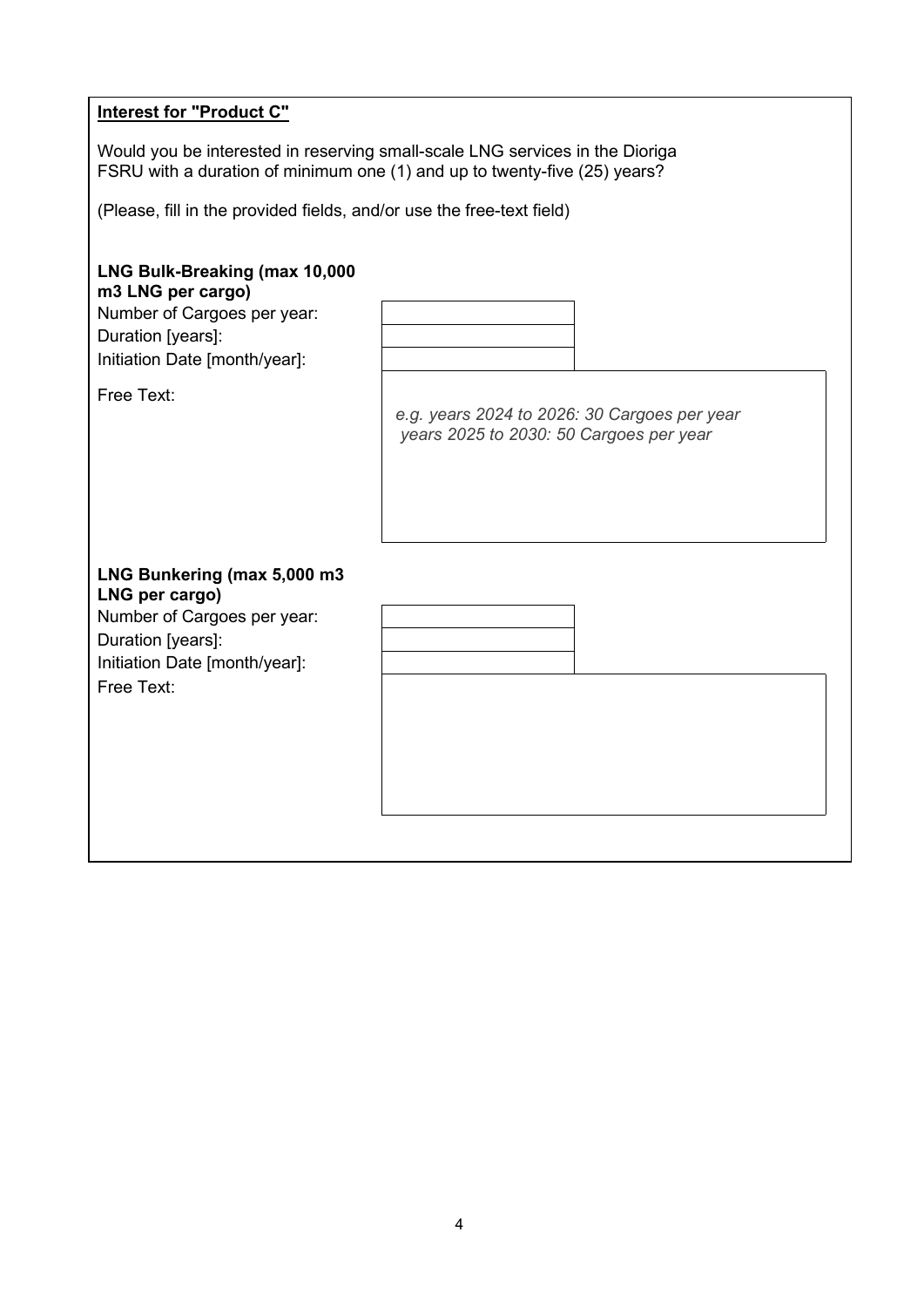|  | <b>Interest for "Product C"</b> |  |  |  |
|--|---------------------------------|--|--|--|
|--|---------------------------------|--|--|--|

Would you be interested in reserving small-scale LNG services in the Dioriga FSRU with a duration of minimum one (1) and up to twenty-five (25) years?

(Please, fill in the provided fields, and/or use the free-text field)

# **LNG Bulk-Breaking (max 10,000**

**m3 LNG per cargo)**

Number of Cargoes per year: Duration [years]: Initiation Date [month/year]:

Free Text:

Free Text:

*e.g. years 2024 to 2026: 30 Cargoes per year years 2025 to 2030: 50 Cargoes per year*

## **LNG Bunkering (max 5,000 m3 LNG per cargo)** Number of Cargoes per year: Duration [years]: Initiation Date [month/year]:

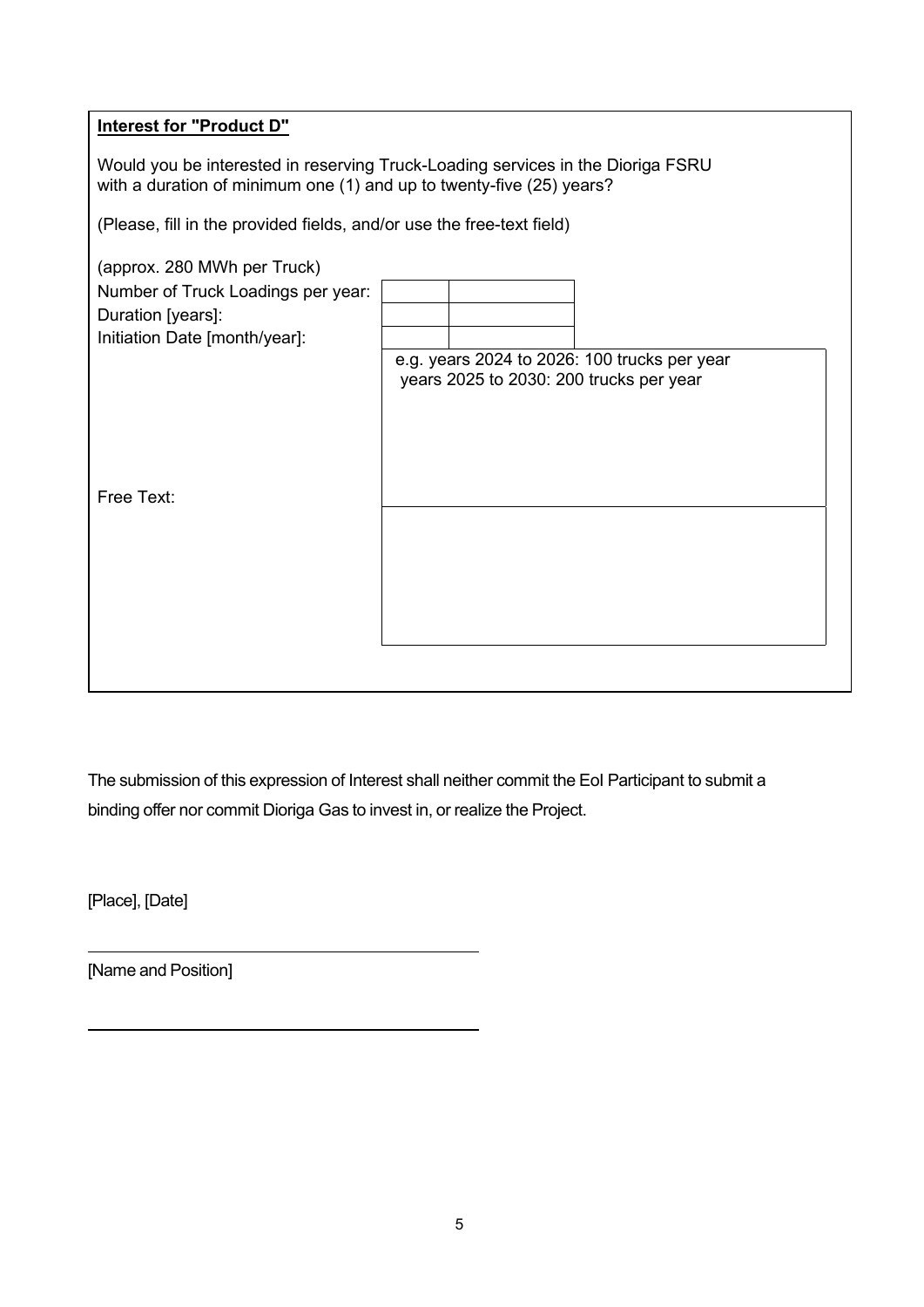# **Interest for "Product D"**

Would you be interested in reserving Truck-Loading services in the Dioriga FSRU with a duration of minimum one (1) and up to twenty-five (25) years?

(Please, fill in the provided fields, and/or use the free-text field)

| (approx. 280 MWh per Truck)<br>Number of Truck Loadings per year: |  |                                                                                         |
|-------------------------------------------------------------------|--|-----------------------------------------------------------------------------------------|
| Duration [years]:                                                 |  |                                                                                         |
| Initiation Date [month/year]:                                     |  |                                                                                         |
|                                                                   |  | e.g. years 2024 to 2026: 100 trucks per year<br>years 2025 to 2030: 200 trucks per year |
| Free Text:                                                        |  |                                                                                         |
|                                                                   |  |                                                                                         |
|                                                                   |  |                                                                                         |
|                                                                   |  |                                                                                         |
|                                                                   |  |                                                                                         |
|                                                                   |  |                                                                                         |

The submission of this expression of Interest shall neither commit the EoI Participant to submit a binding offer nor commit Dioriga Gas to invest in, or realize the Project.

[Place], [Date]

[Name and Position]